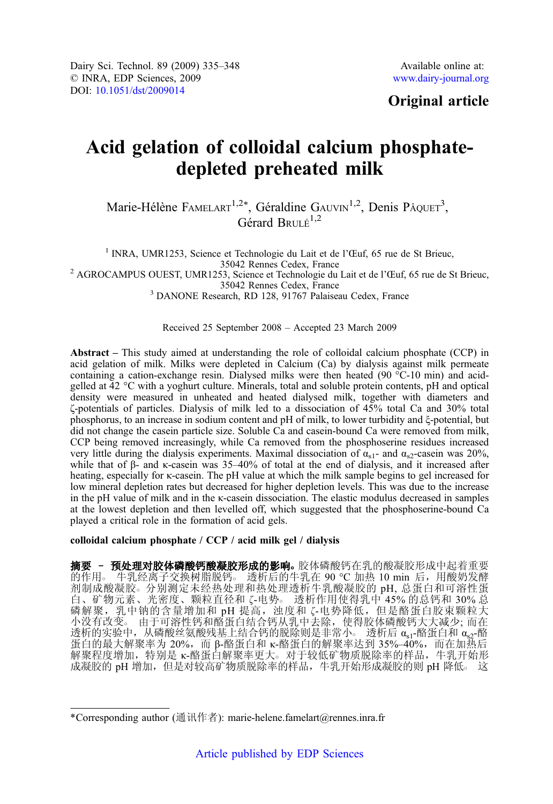# Original article

# Acid gelation of colloidal calcium phosphatedepleted preheated milk

Marie-Hélène FAMELART<sup>1,2\*</sup>, Géraldine GAUVIN<sup>1,2</sup>, Denis PÂQUET<sup>3</sup>, Gérard BRULÉ<sup>1,2</sup>

<sup>1</sup> INRA, UMR1253, Science et Technologie du Lait et de l'Œuf, 65 rue de St Brieuc,  $35042$  Rennes Cedex, France <sup>2</sup> AGROCAMPUS OUEST, UMR1253, Science et Technologie du Lait et de l'Œuf, 65 rue de St Brieuc, 35042 Rennes Cedex, France <sup>3</sup> DANONE Research, RD 128, 91767 Palaiseau Cedex, France

Received 25 September 2008 – Accepted 23 March 2009

Abstract – This study aimed at understanding the role of colloidal calcium phosphate (CCP) in acid gelation of milk. Milks were depleted in Calcium (Ca) by dialysis against milk permeate containing a cation-exchange resin. Dialysed milks were then heated (90  $\degree$ C-10 min) and acidgelled at 42 °C with a yoghurt culture. Minerals, total and soluble protein contents, pH and optical density were measured in unheated and heated dialysed milk, together with diameters and ζ-potentials of particles. Dialysis of milk led to a dissociation of 45% total Ca and 30% total phosphorus, to an increase in sodium content and pH of milk, to lower turbidity and ξ-potential, but did not change the casein particle size. Soluble Ca and casein-bound Ca were removed from milk, CCP being removed increasingly, while Ca removed from the phosphoserine residues increased very little during the dialysis experiments. Maximal dissociation of  $\alpha_{s1}$ - and  $\alpha_{s2}$ -casein was 20%, while that of β- and κ-casein was  $35-40%$  of total at the end of dialysis, and it increased after heating, especially for κ-casein. The pH value at which the milk sample begins to gel increased for low mineral depletion rates but decreased for higher depletion levels. This was due to the increase in the pH value of milk and in the κ-casein dissociation. The elastic modulus decreased in samples at the lowest depletion and then levelled off, which suggested that the phosphoserine-bound Ca played a critical role in the formation of acid gels.

colloidal calcium phosphate / CCP / acid milk gel / dialysis

摘要 - 预处理对胶体磷酸钙酸凝胶形成的影响。胶体磷酸钙在乳的酸凝胶形成中起着重要 的作用。 牛乳经离子交换树脂脱钙。 透析后的牛乳在 90 ℃ 加热 10 min 后, 用酸奶发酵 剂制成酸凝胶○ 分别测定未经热处理和热处理透析牛乳酸凝胶的 pH, 总蛋白和可溶性蛋 白、矿物元素、光密度、颗粒直径和 ζ-电势。 透析作用使得乳中 45% 的总钙和 30% 总 磷解聚,乳中钠的含量增加和 pH 提高, 浊度和 ζ-电势降低, 但是酪蛋白胶束颗粒大 小没有改变。 由于可溶性钙和酪蛋白结合钙从乳中去除,使得胶体磷酸钙大大减少; 而在 透析的实验中,从磷酸丝氨酸残基上结合钙的脱除则是非常小。透析后 α<sub>s1</sub>-酪蛋白和 α<sub>s2</sub>-酪 蛋白的最大解聚率为 20%, 而 β-酪蛋白和 κ-酪蛋白的解聚率达到 35%–40%, 而在加热后 解聚程度增加,特别是 κ-酪蛋白解聚率更大○ 对于较低矿物质脱除率的样品,牛乳开始形 成凝胶的 pH 增加,但是对较高矿物质脱除率的样品,牛乳开始形成凝胶的则 pH 降低。这

<sup>\*</sup>Corresponding author (通讯作者): marie-helene.famelart@rennes.inra.fr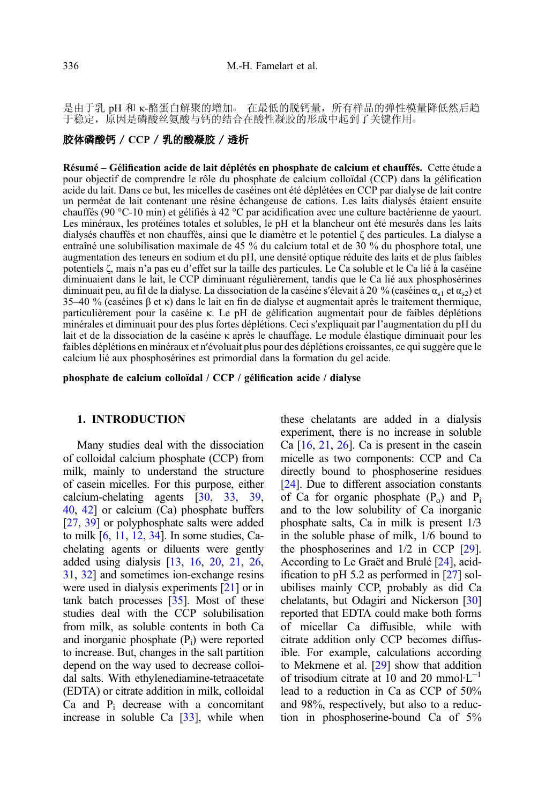是由于乳 pH 和 k-酪蛋白解聚的增加。在最低的脱钙量,所有样品的弹性模量降低然后趋 干稳定, 原因是磷酸丝氨酸与钙的结合在酸性凝胶的形成中起到了关键作用。

# 胶体磷酸钙 / CCP / 乳的酸凝胶 / 透析

Résumé – Gélification acide de lait déplétés en phosphate de calcium et chauffés. Cette étude a pour objectif de comprendre le rôle du phosphate de calcium colloïdal (CCP) dans la gélification acide du lait. Dans ce but, les micelles de caséines ont été déplétées en CCP par dialyse de lait contre un perméat de lait contenant une résine échangeuse de cations. Les laits dialysés étaient ensuite chauffés (90 °C-10 min) et gélifiés à 42 °C par acidification avec une culture bactérienne de yaourt. Les minéraux, les protéines totales et solubles, le pH et la blancheur ont été mesurés dans les laits dialysés chauffés et non chauffés, ainsi que le diamètre et le potentiel ζ des particules. La dialyse a entraîné une solubilisation maximale de 45 % du calcium total et de 30 % du phosphore total, une augmentation des teneurs en sodium et du pH, une densité optique réduite des laits et de plus faibles potentiels ζ, mais n'a pas eu d'effet sur la taille des particules. Le Ca soluble et le Ca lié à la caséine diminuaient dans le lait, le CCP diminuant régulièrement, tandis que le Ca lié aux phosphosérines diminuait peu, au fil de la dialyse. La dissociation de la caséine s'élevait à 20 % (caséines  $\alpha_{s1}$  et  $\alpha_{s2}$ ) et 35–40 % (caséines β et κ) dans le lait en fin de dialyse et augmentait après le traitement thermique, particulièrement pour la caséine κ. Le pH de gélification augmentait pour de faibles déplétions minérales et diminuait pour des plus fortes déplétions. Ceci s′expliquait par l'augmentation du pH du lait et de la dissociation de la caséine κ après le chauffage. Le module élastique diminuait pour les faibles déplétions en minéraux et n′évoluait plus pour des déplétions croissantes, ce qui suggère que le calcium lié aux phosphosérines est primordial dans la formation du gel acide.

phosphate de calcium colloïdal / CCP / gélification acide / dialyse

#### 1. INTRODUCTION

Many studies deal with the dissociation of colloidal calcium phosphate (CCP) from milk, mainly to understand the structure of casein micelles. For this purpose, either calcium-chelating agents [\[30,](#page-13-0) [33](#page-13-0), [39,](#page-13-0) [40,](#page-13-0) [42](#page-13-0)] or calcium (Ca) phosphate buffers [\[27](#page-13-0), [39](#page-13-0)] or polyphosphate salts were added to milk [[6,](#page-12-0) [11](#page-12-0), [12](#page-12-0), [34\]](#page-13-0). In some studies, Cachelating agents or diluents were gently added using dialysis [[13](#page-12-0), [16](#page-12-0), [20](#page-13-0), [21,](#page-13-0) [26,](#page-13-0) [31,](#page-13-0) [32](#page-13-0)] and sometimes ion-exchange resins were used in dialysis experiments [[21](#page-13-0)] or in tank batch processes  $[35]$  $[35]$ . Most of these studies deal with the CCP solubilisation from milk, as soluble contents in both Ca and inorganic phosphate  $(P_i)$  were reported to increase. But, changes in the salt partition depend on the way used to decrease colloidal salts. With ethylenediamine-tetraacetate (EDTA) or citrate addition in milk, colloidal Ca and  $P_i$  decrease with a concomitant increase in soluble Ca [\[33\]](#page-13-0), while when these chelatants are added in a dialysis experiment, there is no increase in soluble Ca  $[16, 21, 26]$  $[16, 21, 26]$  $[16, 21, 26]$  $[16, 21, 26]$  $[16, 21, 26]$  $[16, 21, 26]$  $[16, 21, 26]$ . Ca is present in the casein micelle as two components: CCP and Ca directly bound to phosphoserine residues [[24](#page-13-0)]. Due to different association constants of Ca for organic phosphate  $(P_0)$  and  $P_i$ and to the low solubility of Ca inorganic phosphate salts, Ca in milk is present 1/3 in the soluble phase of milk, 1/6 bound to the phosphoserines and 1/2 in CCP [\[29](#page-13-0)]. According to Le Graët and Brulé [[24](#page-13-0)], acidification to pH 5.2 as performed in [[27](#page-13-0)] solubilises mainly CCP, probably as did Ca chelatants, but Odagiri and Nickerson [[30](#page-13-0)] reported that EDTA could make both forms of micellar Ca diffusible, while with citrate addition only CCP becomes diffusible. For example, calculations according to Mekmene et al. [[29](#page-13-0)] show that addition of trisodium citrate at 10 and 20 mmol $L^{-1}$ lead to a reduction in Ca as CCP of 50% and 98%, respectively, but also to a reduction in phosphoserine-bound Ca of 5%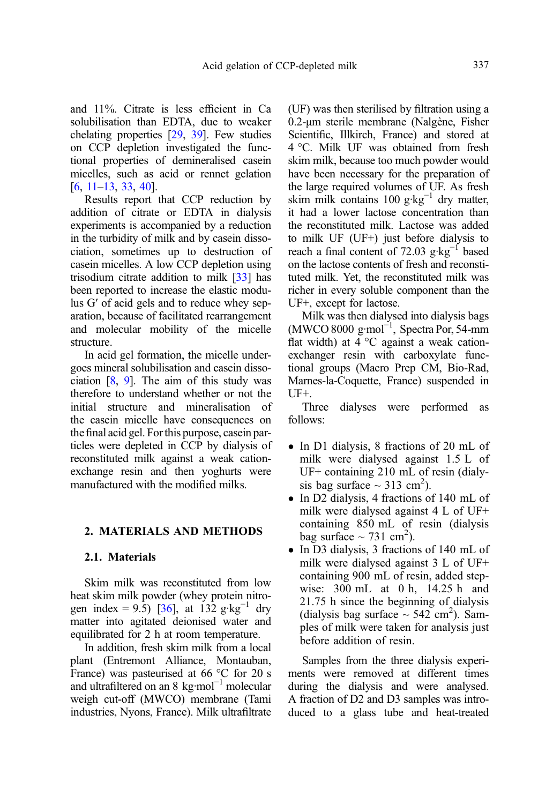and 11%. Citrate is less efficient in Ca solubilisation than EDTA, due to weaker chelating properties [\[29,](#page-13-0) [39](#page-13-0)]. Few studies on CCP depletion investigated the functional properties of demineralised casein micelles, such as acid or rennet gelation [[6](#page-12-0), [11](#page-12-0)–[13](#page-12-0), [33](#page-13-0), [40\]](#page-13-0).

Results report that CCP reduction by addition of citrate or EDTA in dialysis experiments is accompanied by a reduction in the turbidity of milk and by casein dissociation, sometimes up to destruction of casein micelles. A low CCP depletion using trisodium citrate addition to milk [[33](#page-13-0)] has been reported to increase the elastic modulus G′ of acid gels and to reduce whey separation, because of facilitated rearrangement and molecular mobility of the micelle structure.

In acid gel formation, the micelle undergoes mineral solubilisation and casein dissociation  $[8, 9]$  $[8, 9]$  $[8, 9]$ . The aim of this study was therefore to understand whether or not the initial structure and mineralisation of the casein micelle have consequences on thefinal acid gel. Forthis purpose, casein particles were depleted in CCP by dialysis of reconstituted milk against a weak cationexchange resin and then yoghurts were manufactured with the modified milks.

#### 2. MATERIALS AND METHODS

#### 2.1. Materials

Skim milk was reconstituted from low heat skim milk powder (whey protein nitro-gen index = 9.5) [\[36\]](#page-13-0), at 132 g·kg<sup>-1</sup> dry matter into agitated deionised water and equilibrated for 2 h at room temperature.

In addition, fresh skim milk from a local plant (Entremont Alliance, Montauban, France) was pasteurised at 66 °C for 20 s and ultrafiltered on an 8 kg·mol−<sup>1</sup> molecular weigh cut-off (MWCO) membrane (Tami industries, Nyons, France). Milk ultrafiltrate

(UF) was then sterilised by filtration using a 0.2-μm sterile membrane (Nalgène, Fisher Scientific, Illkirch, France) and stored at 4 °C. Milk UF was obtained from fresh skim milk, because too much powder would have been necessary for the preparation of the large required volumes of UF. As fresh skim milk contains 100 g·kg<sup>-1</sup> dry matter, it had a lower lactose concentration than the reconstituted milk. Lactose was added to milk UF (UF+) just before dialysis to reach a final content of 72.03 g·kg<sup> $-1$ </sup> based on the lactose contents of fresh and reconstituted milk. Yet, the reconstituted milk was richer in every soluble component than the UF+, except for lactose.

Milk was then dialysed into dialysis bags (MWCO 8000 g·mol−<sup>1</sup> , Spectra Por, 54-mm flat width) at  $4^{\circ}$ C against a weak cationexchanger resin with carboxylate functional groups (Macro Prep CM, Bio-Rad, Marnes-la-Coquette, France) suspended in  $UF+$ .

Three dialyses were performed as follows:

- In D1 dialysis, 8 fractions of 20 mL of milk were dialysed against 1.5 L of UF+ containing 210 mL of resin (dialysis bag surface  $\sim$  313 cm<sup>2</sup>).
- In D2 dialysis, 4 fractions of 140 mL of milk were dialysed against 4 L of UF+ containing 850 mL of resin (dialysis bag surface  $\sim$  731 cm<sup>2</sup>).
- In D3 dialysis, 3 fractions of 140 mL of milk were dialysed against 3 L of UF+ containing 900 mL of resin, added stepwise: 300 mL at 0 h, 14.25 h and 21.75 h since the beginning of dialysis (dialysis bag surface  $\sim$  542 cm<sup>2</sup>). Samples of milk were taken for analysis just before addition of resin.

Samples from the three dialysis experiments were removed at different times during the dialysis and were analysed. A fraction of D2 and D3 samples was introduced to a glass tube and heat-treated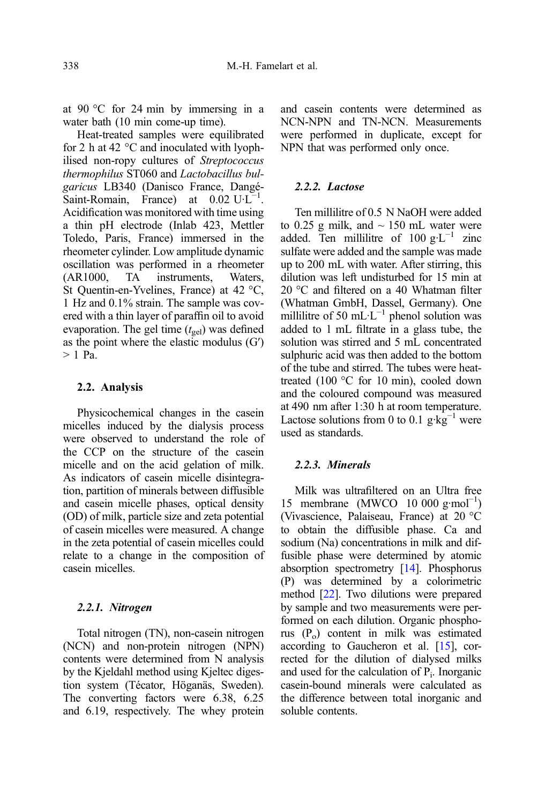at 90 °C for 24 min by immersing in a water bath (10 min come-up time).

Heat-treated samples were equilibrated for 2 h at 42  $\degree$ C and inoculated with lyoph-<br>ilised non-ropy cultures of *Streptococcus* ilised non-ropy cultures of *Streptococcus*<br>thermonhilus ST060 and *Lactobacillus bul*thermophilus ST060 and *Lactobacillus bul-*<br>g*aricus LB340 (Danisco France, Dangé*garicus LB340 (Danisco France, Dangé-Saint-Romain, France) at  $0.02 \text{ U·L}^{-1}$ . Acidification was monitored with time using a thin pH electrode (Inlab 423, Mettler Toledo, Paris, France) immersed in the rheometer cylinder. Low amplitude dynamic oscillation was performed in a rheometer<br>(AR1000. TA instruments. Waters.  $(AR1000, TA$  instruments, St Quentin-en-Yvelines, France) at 42 °C, 1 Hz and 0.1% strain. The sample was covered with a thin layer of paraffin oil to avoid evaporation. The gel time  $(t_{gel})$  was defined as the point where the elastic modulus (G′)  $> 1$  Pa.

#### 2.2. Analysis

Physicochemical changes in the casein micelles induced by the dialysis process were observed to understand the role of the CCP on the structure of the casein micelle and on the acid gelation of milk. As indicators of casein micelle disintegration, partition of minerals between diffusible and casein micelle phases, optical density (OD) of milk, particle size and zeta potential of casein micelles were measured. A change in the zeta potential of casein micelles could relate to a change in the composition of casein micelles.

#### 2.2.1. Nitrogen

Total nitrogen (TN), non-casein nitrogen (NCN) and non-protein nitrogen (NPN) contents were determined from N analysis by the Kjeldahl method using Kjeltec digestion system (Técator, Höganäs, Sweden). The converting factors were 6.38, 6.25 and 6.19, respectively. The whey protein and casein contents were determined as NCN-NPN and TN-NCN. Measurements were performed in duplicate, except for NPN that was performed only once.

# 2.2.2. Lactose

Ten millilitre of 0.5 N NaOH were added to 0.25 g milk, and  $\sim$  150 mL water were added. Ten millilitre of 100 g·L−<sup>1</sup> zinc sulfate were added and the sample was made up to 200 mL with water. After stirring, this dilution was left undisturbed for 15 min at 20 °C and filtered on a 40 Whatman filter (Whatman GmbH, Dassel, Germany). One millilitre of 50 mL·L<sup>-1</sup> phenol solution was added to 1 mL filtrate in a glass tube, the solution was stirred and 5 mL concentrated sulphuric acid was then added to the bottom of the tube and stirred. The tubes were heattreated (100 °C for 10 min), cooled down and the coloured compound was measured at 490 nm after 1:30 h at room temperature. Lactose solutions from 0 to 0.1 g⋅kg<sup>-1</sup> were used as standards.

#### 2.2.3. Minerals

Milk was ultrafiltered on an Ultra free 15 membrane (MWCO 10 000 g·mol<sup>-1</sup>) (Vivascience, Palaiseau, France) at 20 °C to obtain the diffusible phase. Ca and sodium (Na) concentrations in milk and diffusible phase were determined by atomic absorption spectrometry [[14\]](#page-12-0). Phosphorus (P) was determined by a colorimetric method [[22](#page-13-0)]. Two dilutions were prepared by sample and two measurements were performed on each dilution. Organic phosphorus  $(P<sub>o</sub>)$  content in milk was estimated according to Gaucheron et al. [[15](#page-12-0)], corrected for the dilution of dialysed milks and used for the calculation of Pi . Inorganic casein-bound minerals were calculated as the difference between total inorganic and soluble contents.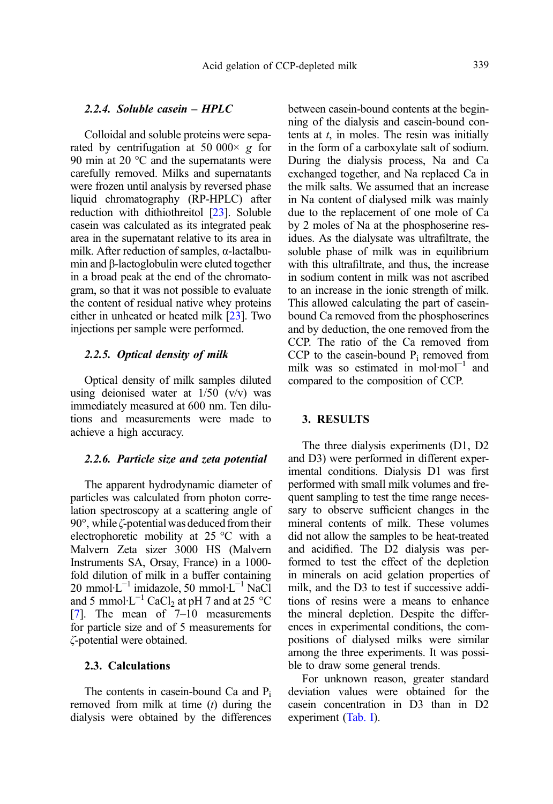#### 2.2.4. Soluble casein – HPLC

Colloidal and soluble proteins were separated by centrifugation at 50 000 $\times$  g for 90 min at 20 $\degree$ C and the supernatants were carefully removed. Milks and supernatants were frozen until analysis by reversed phase liquid chromatography (RP-HPLC) after reduction with dithiothreitol [\[23\]](#page-13-0). Soluble casein was calculated as its integrated peak area in the supernatant relative to its area in milk. After reduction of samples, α-lactalbumin and β-lactoglobulin were eluted together in a broad peak at the end of the chromatogram, so that it was not possible to evaluate the content of residual native whey proteins either in unheated or heated milk [\[23\]](#page-13-0). Two injections per sample were performed.

#### 2.2.5. Optical density of milk

Optical density of milk samples diluted using deionised water at  $1/50$  (v/v) was immediately measured at 600 nm. Ten dilutions and measurements were made to achieve a high accuracy.

#### 2.2.6. Particle size and zeta potential

The apparent hydrodynamic diameter of particles was calculated from photon correlation spectroscopy at a scattering angle of 90°, while  $\zeta$ -potential was deduced from their electrophoretic mobility at 25 °C with a Malvern Zeta sizer 3000 HS (Malvern Instruments SA, Orsay, France) in a 1000 fold dilution of milk in a buffer containing 20 mmol·L−<sup>1</sup> imidazole, 50 mmol·L−<sup>1</sup> NaCl and 5 mmol⋅L<sup>-1</sup> CaCl<sub>2</sub> at pH 7 and at 25 °C [[7](#page-12-0)]. The mean of  $7-10$  measurements for particle size and of 5 measurements for ζ-potential were obtained.

# 2.3. Calculations

The contents in case in-bound Ca and  $P_i$ removed from milk at time  $(t)$  during the dialysis were obtained by the differences between casein-bound contents at the beginning of the dialysis and casein-bound contents at  $t$ , in moles. The resin was initially in the form of a carboxylate salt of sodium. During the dialysis process, Na and Ca exchanged together, and Na replaced Ca in the milk salts. We assumed that an increase in Na content of dialysed milk was mainly due to the replacement of one mole of Ca by 2 moles of Na at the phosphoserine residues. As the dialysate was ultrafiltrate, the soluble phase of milk was in equilibrium with this ultrafiltrate, and thus, the increase in sodium content in milk was not ascribed to an increase in the ionic strength of milk. This allowed calculating the part of caseinbound Ca removed from the phosphoserines and by deduction, the one removed from the CCP. The ratio of the Ca removed from CCP to the casein-bound  $P_i$  removed from milk was so estimated in mol·mol<sup>-1</sup> and compared to the composition of CCP.

#### 3. RESULTS

The three dialysis experiments (D1, D2 and D3) were performed in different experimental conditions. Dialysis D1 was first performed with small milk volumes and frequent sampling to test the time range necessary to observe sufficient changes in the mineral contents of milk. These volumes did not allow the samples to be heat-treated and acidified. The D2 dialysis was performed to test the effect of the depletion in minerals on acid gelation properties of milk, and the D3 to test if successive additions of resins were a means to enhance the mineral depletion. Despite the differences in experimental conditions, the compositions of dialysed milks were similar among the three experiments. It was possible to draw some general trends.

For unknown reason, greater standard deviation values were obtained for the casein concentration in D3 than in D2 experiment [\(Tab. I](#page-5-0)).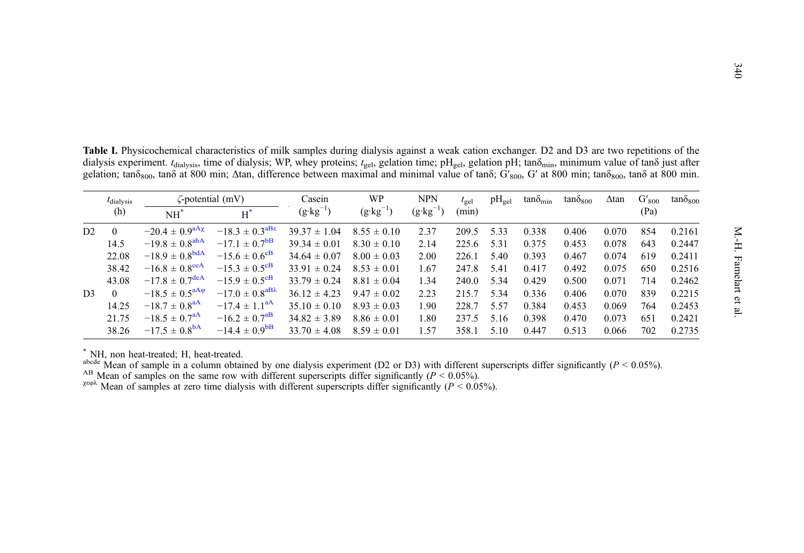<span id="page-5-0"></span>Table I. Physicochemical characteristics of milk samples during dialysis against <sup>a</sup> weak cation exchanger. D2 and D3 are two repetitions of the dialysis experiment.  $t_{\text{dialysis}}$ , time of dialysis; WP, whey proteins;  $t_{\text{gel}}$ , gelation time; pH<sub>gel</sub>, gelation pH;  $\tan\delta_{\text{min}}$ , minimum value of  $\tan\delta$  just after gelation; tanδ<sub>800</sub>, tanδ at 800 min; Δtan, difference between maximal and minimal value of tanδ;  $G'_{800}$ ,  $G'$  at 800 min; tanδ<sub>800</sub>, tanδ at 800 min.

|                | $t_{\rm dialysis}$ | $\zeta$ -potential (mV)        |                                | Casein              | WP                  | <b>NPN</b>          | $t_{\rm gel}$ | $pH_{gel}$ | $tan\delta_{\min}$ | $tan\delta_{800}$ | $\Delta \tan$ | $G'_{800}$ | $tan\delta_{800}$ |
|----------------|--------------------|--------------------------------|--------------------------------|---------------------|---------------------|---------------------|---------------|------------|--------------------|-------------------|---------------|------------|-------------------|
|                | (h)                | NH <sup>3</sup>                | $H^*$                          | $(g \cdot kg^{-1})$ | $(g \cdot kg^{-1})$ | $(g \cdot kg^{-1})$ | (min)         |            |                    |                   |               | (Pa)       |                   |
| D <sub>2</sub> | $\overline{0}$     | $-20.4 \pm 0.9^{aA\chi}$       | $-18.3 \pm 0.3^{\text{aBe}}$   | $39.37 \pm 1.04$    | $8.55 \pm 0.10$     | 2.37                | 209.5         | 5.33       | 0.338              | 0.406             | 0.070         | 854        | 0.2161            |
|                | 14.5               | $-19.8 \pm 0.8$ <sup>abA</sup> | $-17.1 \pm 0.7$ <sup>bB</sup>  | $39.34 \pm 0.01$    | $8.30 \pm 0.10$     | 2.14                | 225.6         | 5.31       | 0.375              | 0.453             | 0.078         | 643        | 0.2447            |
|                | 22.08              | $-18.9 \pm 0.8$ <sup>bdA</sup> | $-15.6 \pm 0.6^{\circ}$ B      | $34.64 \pm 0.07$    | $8.00 \pm 0.03$     | 2.00                | 226.1         | 5.40       | 0.393              | 0.467             | 0.074         | 619        | 0.2411            |
|                | 38.42              | $-16.8 \pm 0.8^{\text{ceA}}$   | $-15.3 \pm 0.5^{\text{cB}}$    | $33.91 \pm 0.24$    | $8.53 \pm 0.01$     | 1.67                | 247.8         | 5.41       | 0.417              | 0.492             | 0.075         | 650        | 0.2516            |
|                | 43.08              | $-17.8 \pm 0.7$ <sup>deA</sup> | $-15.9 \pm 0.5^{\text{cB}}$    | $33.79 \pm 0.24$    | $8.81 \pm 0.04$     | 1.34                | 240.0         | 5.34       | 0.429              | 0.500             | 0.071         | 714        | 0.2462            |
| D <sub>3</sub> | $\theta$           | $-18.5 \pm 0.5^{aA\varphi}$    | $-17.0 \pm 0.8$ <sup>aBλ</sup> | $36.12 \pm 4.23$    | $9.47 \pm 0.02$     | 2.23                | 215.7         | 5.34       | 0.336              | 0.406             | 0.070         | 839        | 0.2215            |
|                | 14.25              | $-18.7 \pm 0.8$ <sup>aA</sup>  | $-17.4 \pm 1.1^{aA}$           | $35.10 \pm 0.10$    | $8.93 \pm 0.03$     | 1.90                | 228.7         | 5.57       | 0.384              | 0.453             | 0.069         | 764        | 0.2453            |
|                | 21.75              | $-18.5 \pm 0.7$ <sup>aA</sup>  | $-16.2 \pm 0.7$ <sup>aB</sup>  | $34.82 \pm 3.89$    | $8.86 \pm 0.01$     | 1.80                | 237.5         | 5.16       | 0.398              | 0.470             | 0.073         | 651        | 0.2421            |
|                | 38.26              | $-17.5 \pm 0.8$ <sup>bA</sup>  | $-14.4 \pm 0.9^{\text{bB}}$    | $33.70 \pm 4.08$    | $8.59 \pm 0.01$     | 1.57                | 358.1         | 5.10       | 0.447              | 0.513             | 0.066         | 702        | 0.2735            |

 $*$  NH, non heat-treated; H, heat-treated.

<sup>abcae</sup> Mean of sample in a column obtained by one dialysis experiment (D2 or D3) with different superscripts differ significantly ( $P < 0.05\%$ ).<br><sup>AB</sup> Mean of samples on the same row with different superscripts differ sig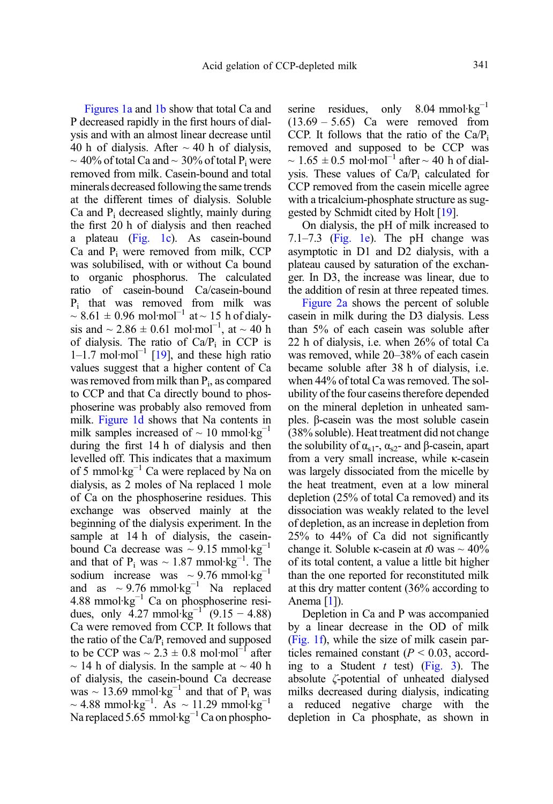[Figures 1a](#page-7-0) and [1b](#page-7-0) show that total Ca and P decreased rapidly in the first hours of dialysis and with an almost linear decrease until 40 h of dialysis. After  $\sim$  40 h of dialysis,  $\sim$  40% of total Ca and  $\sim$  30% of total P<sub>i</sub> were removed from milk. Casein-bound and total minerals decreased following the same trends at the different times of dialysis. Soluble Ca and Pi decreased slightly, mainly during the first 20 h of dialysis and then reached a plateau ([Fig. 1c\)](#page-7-0). As casein-bound Ca and Pi were removed from milk, CCP was solubilised, with or without Ca bound to organic phosphorus. The calculated ratio of casein-bound Ca/casein-bound Pi that was removed from milk was  $\sim$  8.61 ± 0.96 mol·mol<sup>-1</sup> at ~ 15 h of dialysis and  $\sim 2.86 \pm 0.61$  mol·mol<sup>-1</sup>, at  $\sim 40$  h of dialysis. The ratio of  $Ca/P_i$  in CCP is  $1-1.7$  mol·mol<sup>-1</sup> [\[19](#page-13-0)], and these high ratio values suggest that a higher content of Ca was removed from milk than  $P_i$ , as compared to CCP and that Ca directly bound to phosphoserine was probably also removed from milk. [Figure 1d](#page-7-0) shows that Na contents in milk samples increased of  $\sim 10$  mmol·kg<sup>-1</sup> during the first 14 h of dialysis and then levelled off. This indicates that a maximum of 5 mmol·kg−<sup>1</sup> Ca were replaced by Na on dialysis, as 2 moles of Na replaced 1 mole of Ca on the phosphoserine residues. This exchange was observed mainly at the beginning of the dialysis experiment. In the sample at 14 h of dialysis, the caseinbound Ca decrease was  $\sim$  9.15 mmol·kg<sup>-1</sup> and that of  $P_i$  was ~ 1.87 mmol·kg<sup>-1</sup>. The sodium increase was ~ 9.76 mmol·kg<sup>-1</sup> and as  $\sim$  9.76 mmol·kg<sup>-1</sup> Na replaced 4.88 mmol·kg−<sup>1</sup> Ca on phosphoserine residues, only 4.27 mmol·kg<sup>-1</sup> (9.15 – 4.88) Ca were removed from CCP. It follows that the ratio of the  $Ca/P_i$  removed and supposed to be CCP was  $\sim 2.3 \pm 0.8$  mol·mol<sup>-1</sup> after  $\sim$  14 h of dialysis. In the sample at  $\sim$  40 h of dialysis, the casein-bound Ca decrease was ~ 13.69 mmol·kg<sup>-1</sup> and that of P<sub>i</sub> was  $\sim$  4.88 mmol·kg<sup>-1</sup>. As  $\sim$  11.29 mmol·kg<sup>-1</sup> Na replaced 5.65 mmol·kg<sup>-1</sup> Ca on phosphoserine residues, only 8.04 mmol·kg<sup>-1</sup>  $(13.69 - 5.65)$  Ca were removed from CCP. It follows that the ratio of the  $Ca/P_i$ removed and supposed to be CCP was  $\sim 1.65 \pm 0.5$  mol·mol<sup>-1</sup> after  $\sim 40$  h of dialysis. These values of Ca/Pi calculated for CCP removed from the casein micelle agree with a tricalcium-phosphate structure as suggested by Schmidt cited by Holt [\[19\]](#page-13-0).

On dialysis, the pH of milk increased to 7.1–7.3 [\(Fig. 1e](#page-7-0)). The pH change was asymptotic in D1 and D2 dialysis, with a plateau caused by saturation of the exchanger. In D3, the increase was linear, due to the addition of resin at three repeated times.

[Figure 2a](#page-8-0) shows the percent of soluble casein in milk during the D3 dialysis. Less than 5% of each casein was soluble after 22 h of dialysis, i.e. when 26% of total Ca was removed, while 20–38% of each casein became soluble after 38 h of dialysis, i.e. when 44% of total Ca was removed. The solubility of the four caseins therefore depended on the mineral depletion in unheated samples. β-casein was the most soluble casein (38% soluble). Heat treatment did not change the solubility of  $\alpha_{s1}$ -,  $\alpha_{s2}$ - and β-casein, apart from a very small increase, while κ-casein was largely dissociated from the micelle by the heat treatment, even at a low mineral depletion (25% of total Ca removed) and its dissociation was weakly related to the level of depletion, as an increase in depletion from 25% to 44% of Ca did not significantly change it. Soluble κ-casein at t0 was  $\sim$  40% of its total content, a value a little bit higher than the one reported for reconstituted milk at this dry matter content (36% according to Anema [\[1](#page-12-0)]).

Depletion in Ca and P was accompanied by a linear decrease in the OD of milk ([Fig. 1f](#page-7-0)), while the size of milk casein particles remained constant  $(P < 0.03$ , according to a Student  $t$  test) ([Fig. 3](#page-9-0)). The absolute ζ-potential of unheated dialysed milks decreased during dialysis, indicating a reduced negative charge with the depletion in Ca phosphate, as shown in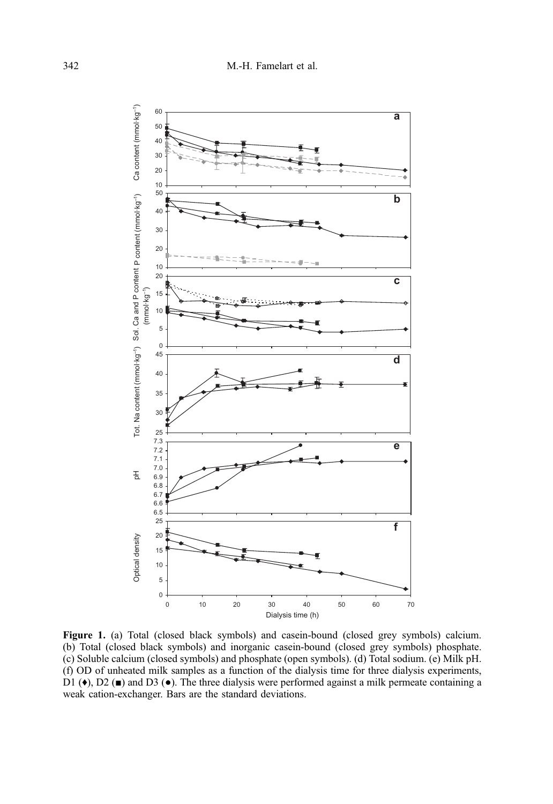<span id="page-7-0"></span>

Figure 1. (a) Total (closed black symbols) and casein-bound (closed grey symbols) calcium. (b) Total (closed black symbols) and inorganic casein-bound (closed grey symbols) phosphate. (c) Soluble calcium (closed symbols) and phosphate (open symbols). (d) Total sodium. (e) Milk pH. (f) OD of unheated milk samples as a function of the dialysis time for three dialysis experiments, D1 ( $\bullet$ ), D2 ( $\bullet$ ) and D3 ( $\bullet$ ). The three dialysis were performed against a milk permeate containing a weak cation-exchanger. Bars are the standard deviations.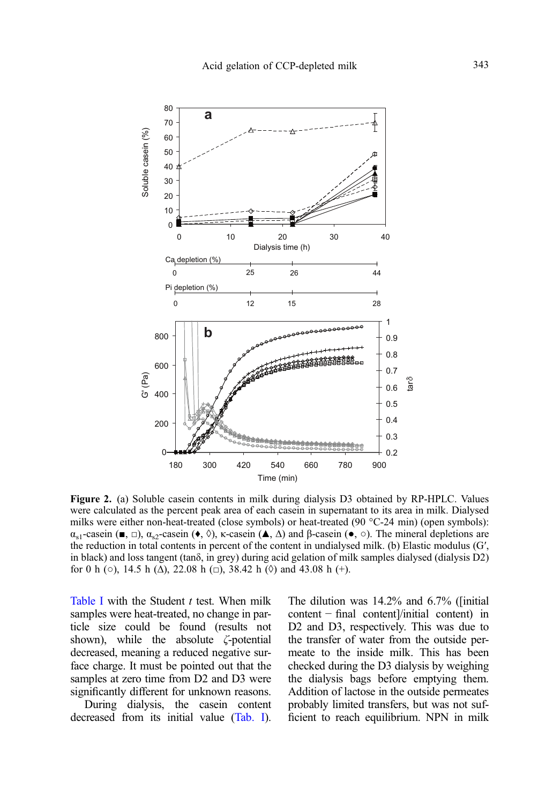<span id="page-8-0"></span>

Figure 2. (a) Soluble casein contents in milk during dialysis D3 obtained by RP-HPLC. Values were calculated as the percent peak area of each casein in supernatant to its area in milk. Dialysed milks were either non-heat-treated (close symbols) or heat-treated (90 °C-24 min) (open symbols):  $\alpha_{s1}$ -casein ( $\blacksquare$ ,  $\Box$ ),  $\alpha_{s2}$ -casein ( $\blacklozenge$ ,  $\Diamond$ ), κ-casein ( $\blacktriangle$ ,  $\Delta$ ) and  $\beta$ -casein ( $\blacklozenge$ ,  $\circ$ ). The mineral depletions are the reduction in total contents in percent of the content in undialysed milk. (b) Elastic modulus (G′, in black) and loss tangent (tanδ, in grey) during acid gelation of milk samples dialysed (dialysis D2) for 0 h ( $\circ$ ), 14.5 h ( $\Delta$ ), 22.08 h ( $\Box$ ), 38.42 h ( $\circ$ ) and 43.08 h (+).

[Table I](#page-5-0) with the Student  $t$  test. When milk samples were heat-treated, no change in particle size could be found (results not shown), while the absolute ζ-potential decreased, meaning a reduced negative surface charge. It must be pointed out that the samples at zero time from D2 and D3 were significantly different for unknown reasons.

During dialysis, the casein content decreased from its initial value ([Tab. I](#page-5-0)). The dilution was 14.2% and 6.7% ([initial content − final content]/initial content) in D2 and D3, respectively. This was due to the transfer of water from the outside permeate to the inside milk. This has been checked during the D3 dialysis by weighing the dialysis bags before emptying them. Addition of lactose in the outside permeates probably limited transfers, but was not sufficient to reach equilibrium. NPN in milk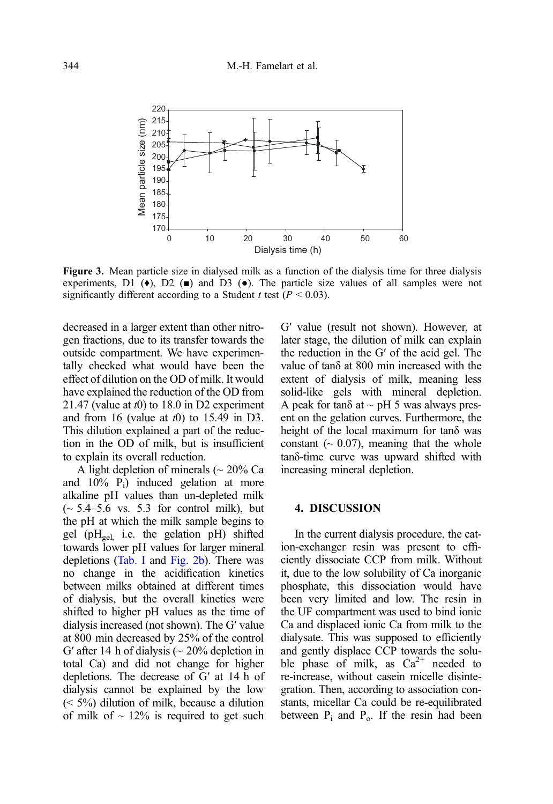<span id="page-9-0"></span>

Figure 3. Mean particle size in dialysed milk as a function of the dialysis time for three dialysis experiments, D1  $(\bullet)$ , D2  $(\bullet)$  and D3  $(\bullet)$ . The particle size values of all samples were not significantly different according to a Student t test ( $P < 0.03$ ).

decreased in a larger extent than other nitrogen fractions, due to its transfer towards the outside compartment. We have experimentally checked what would have been the effect of dilution on the OD of milk. It would have explained the reduction of the OD from 21.47 (value at  $t0$ ) to 18.0 in D2 experiment and from 16 (value at  $t0$ ) to 15.49 in D3. This dilution explained a part of the reduction in the OD of milk, but is insufficient to explain its overall reduction.

A light depletion of minerals ( $\sim$  20% Ca and  $10\%$  P<sub>i</sub>) induced gelation at more alkaline pH values than un-depleted milk  $\sim$  5.4–5.6 vs. 5.3 for control milk), but the pH at which the milk sample begins to gel ( $pH_{gel}$  i.e. the gelation  $pH$ ) shifted towards lower pH values for larger mineral depletions [\(Tab. I](#page-5-0) and [Fig. 2b](#page-8-0)). There was no change in the acidification kinetics between milks obtained at different times of dialysis, but the overall kinetics were shifted to higher pH values as the time of dialysis increased (not shown). The G′ value at 800 min decreased by 25% of the control G' after 14 h of dialysis ( $\sim$  20% depletion in total Ca) and did not change for higher depletions. The decrease of G′ at 14 h of dialysis cannot be explained by the low  $(< 5\%)$  dilution of milk, because a dilution of milk of  $\sim$  12% is required to get such G′ value (result not shown). However, at later stage, the dilution of milk can explain the reduction in the G′ of the acid gel. The value of tanδ at 800 min increased with the extent of dialysis of milk, meaning less solid-like gels with mineral depletion. A peak for tan $\delta$  at  $\sim$  pH 5 was always present on the gelation curves. Furthermore, the height of the local maximum for tanδ was constant  $($   $\sim$  0.07), meaning that the whole tanδ-time curve was upward shifted with increasing mineral depletion.

#### 4. DISCUSSION

In the current dialysis procedure, the cation-exchanger resin was present to efficiently dissociate CCP from milk. Without it, due to the low solubility of Ca inorganic phosphate, this dissociation would have been very limited and low. The resin in the UF compartment was used to bind ionic Ca and displaced ionic Ca from milk to the dialysate. This was supposed to efficiently and gently displace CCP towards the soluble phase of milk, as  $Ca^{2+}$  needed to re-increase, without casein micelle disintegration. Then, according to association constants, micellar Ca could be re-equilibrated between  $P_i$  and  $P_o$ . If the resin had been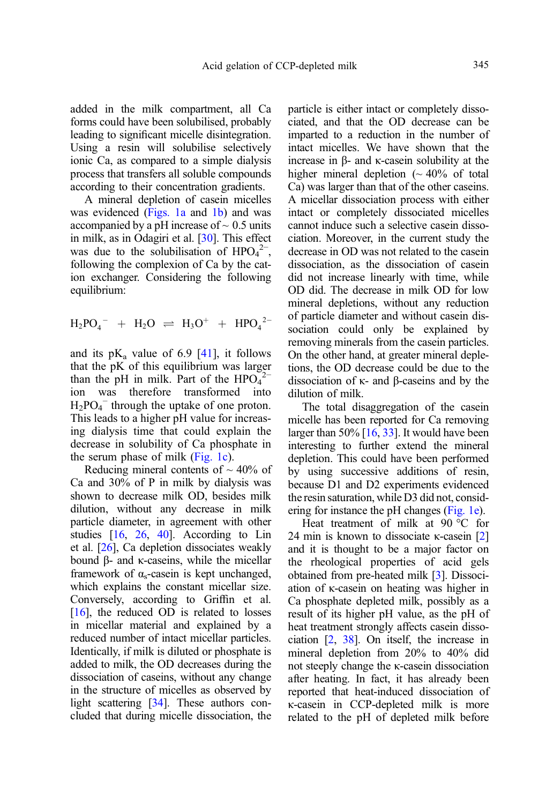added in the milk compartment, all Ca forms could have been solubilised, probably leading to significant micelle disintegration. Using a resin will solubilise selectively ionic Ca, as compared to a simple dialysis process that transfers all soluble compounds according to their concentration gradients.

A mineral depletion of casein micelles was evidenced ([Figs. 1a](#page-7-0) and [1b](#page-7-0)) and was accompanied by a pH increase of  $\sim 0.5$  units in milk, as in Odagiri et al. [\[30\]](#page-13-0). This effect was due to the solubilisation of  $HPO<sub>4</sub><sup>2</sup>$ , following the complexion of Ca by the cation exchanger. Considering the following equilibrium:

$$
H_2PO_4^- + H_2O \rightleftharpoons H_3O^+ + HPO_4^{2-}
$$

and its  $pK_a$  value of 6.9 [\[41](#page-13-0)], it follows that the pK of this equilibrium was larger than the pH in milk. Part of the  $HPO<sub>4</sub><sup>2</sup>$ ion was therefore transformed into  $H_2PO_4^-$  through the uptake of one proton. This leads to a higher pH value for increasing dialysis time that could explain the decrease in solubility of Ca phosphate in the serum phase of milk [\(Fig. 1c\)](#page-7-0).

Reducing mineral contents of  $\sim$  40% of Ca and 30% of P in milk by dialysis was shown to decrease milk OD, besides milk dilution, without any decrease in milk particle diameter, in agreement with other studies [[16](#page-12-0), [26](#page-13-0), [40\]](#page-13-0). According to Lin et al. [\[26](#page-13-0)], Ca depletion dissociates weakly bound β- and κ-caseins, while the micellar framework of  $\alpha_s$ -casein is kept unchanged, which explains the constant micellar size. Conversely, according to Griffin et al.  $[16]$  $[16]$  $[16]$ , the reduced OD is related to losses in micellar material and explained by a reduced number of intact micellar particles. Identically, if milk is diluted or phosphate is added to milk, the OD decreases during the dissociation of caseins, without any change in the structure of micelles as observed by light scattering [[34](#page-13-0)]. These authors concluded that during micelle dissociation, the particle is either intact or completely dissociated, and that the OD decrease can be imparted to a reduction in the number of intact micelles. We have shown that the increase in β- and κ-casein solubility at the higher mineral depletion  $(~40\%~\text{of}~\text{total}~$ Ca) was larger than that of the other caseins. A micellar dissociation process with either intact or completely dissociated micelles cannot induce such a selective casein dissociation. Moreover, in the current study the decrease in OD was not related to the casein dissociation, as the dissociation of casein did not increase linearly with time, while OD did. The decrease in milk OD for low mineral depletions, without any reduction of particle diameter and without casein dissociation could only be explained by removing minerals from the casein particles. On the other hand, at greater mineral depletions, the OD decrease could be due to the dissociation of κ- and β-caseins and by the dilution of milk.

The total disaggregation of the casein micelle has been reported for Ca removing larger than 50% [[16](#page-12-0), [33](#page-13-0)]. It would have been interesting to further extend the mineral depletion. This could have been performed by using successive additions of resin, because D1 and D2 experiments evidenced the resin saturation, while D3 did not, considering for instance the pH changes ([Fig. 1e](#page-7-0)).

Heat treatment of milk at 90 °C for 24 min is known to dissociate κ-casein [[2\]](#page-12-0) and it is thought to be a major factor on the rheological properties of acid gels obtained from pre-heated milk [[3](#page-12-0)]. Dissociation of κ-casein on heating was higher in Ca phosphate depleted milk, possibly as a result of its higher pH value, as the pH of heat treatment strongly affects casein dissociation [[2,](#page-12-0) [38\]](#page-13-0). On itself, the increase in mineral depletion from 20% to 40% did not steeply change the κ-casein dissociation after heating. In fact, it has already been reported that heat-induced dissociation of κ-casein in CCP-depleted milk is more related to the pH of depleted milk before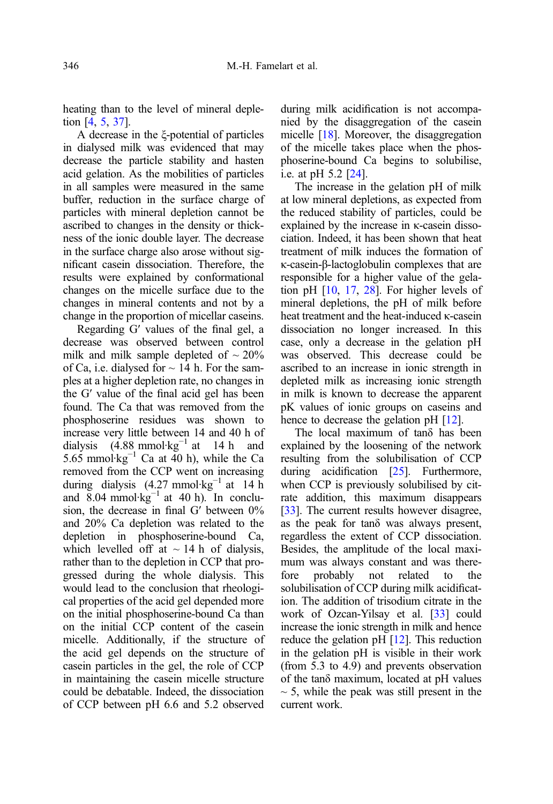heating than to the level of mineral depletion [\[4](#page-12-0), [5,](#page-12-0) [37](#page-13-0)].

A decrease in the ξ-potential of particles in dialysed milk was evidenced that may decrease the particle stability and hasten acid gelation. As the mobilities of particles in all samples were measured in the same buffer, reduction in the surface charge of particles with mineral depletion cannot be ascribed to changes in the density or thickness of the ionic double layer. The decrease in the surface charge also arose without significant casein dissociation. Therefore, the results were explained by conformational changes on the micelle surface due to the changes in mineral contents and not by a change in the proportion of micellar caseins.

Regarding G′ values of the final gel, a decrease was observed between control milk and milk sample depleted of  $\sim 20\%$ of Ca, i.e. dialysed for  $\sim$  14 h. For the samples at a higher depletion rate, no changes in the G′ value of the final acid gel has been found. The Ca that was removed from the phosphoserine residues was shown to increase very little between 14 and 40 h of dialysis  $(4.88 \text{ mmol·kg}^{-1} \text{ at } 14 \text{ h} \text{ and}$ 5.65 mmol·kg<sup>-1</sup> Ca at 40 h), while the Ca removed from the CCP went on increasing during dialysis  $(4.27 \text{ mmol·kg}^{-1})$  at 14 h and  $8.04$  mmol·kg<sup>-1</sup> at 40 h). In conclusion, the decrease in final G′ between 0% and 20% Ca depletion was related to the depletion in phosphoserine-bound Ca, which levelled off at  $\sim$  14 h of dialysis, rather than to the depletion in CCP that progressed during the whole dialysis. This would lead to the conclusion that rheological properties of the acid gel depended more on the initial phosphoserine-bound Ca than on the initial CCP content of the casein micelle. Additionally, if the structure of the acid gel depends on the structure of casein particles in the gel, the role of CCP in maintaining the casein micelle structure could be debatable. Indeed, the dissociation of CCP between pH 6.6 and 5.2 observed during milk acidification is not accompanied by the disaggregation of the casein micelle [[18](#page-13-0)]. Moreover, the disaggregation of the micelle takes place when the phosphoserine-bound Ca begins to solubilise, i.e. at pH 5.2 [\[24\]](#page-13-0).

The increase in the gelation pH of milk at low mineral depletions, as expected from the reduced stability of particles, could be explained by the increase in κ-casein dissociation. Indeed, it has been shown that heat treatment of milk induces the formation of κ-casein-β-lactoglobulin complexes that are responsible for a higher value of the gelation pH [[10](#page-12-0), [17](#page-12-0), [28\]](#page-13-0). For higher levels of mineral depletions, the pH of milk before heat treatment and the heat-induced κ-casein dissociation no longer increased. In this case, only a decrease in the gelation pH was observed. This decrease could be ascribed to an increase in ionic strength in depleted milk as increasing ionic strength in milk is known to decrease the apparent pK values of ionic groups on caseins and hence to decrease the gelation pH [\[12\]](#page-12-0).

The local maximum of tanδ has been explained by the loosening of the network resulting from the solubilisation of CCP during acidification [\[25](#page-13-0)]. Furthermore, when CCP is previously solubilised by citrate addition, this maximum disappears [[33](#page-13-0)]. The current results however disagree, as the peak for tanδ was always present, regardless the extent of CCP dissociation. Besides, the amplitude of the local maximum was always constant and was therefore probably not related to the solubilisation of CCP during milk acidification. The addition of trisodium citrate in the work of Ozcan-Yilsay et al. [\[33\]](#page-13-0) could increase the ionic strength in milk and hence reduce the gelation pH [\[12\]](#page-12-0). This reduction in the gelation pH is visible in their work (from 5.3 to 4.9) and prevents observation of the tanδ maximum, located at pH values  $\sim$  5, while the peak was still present in the current work.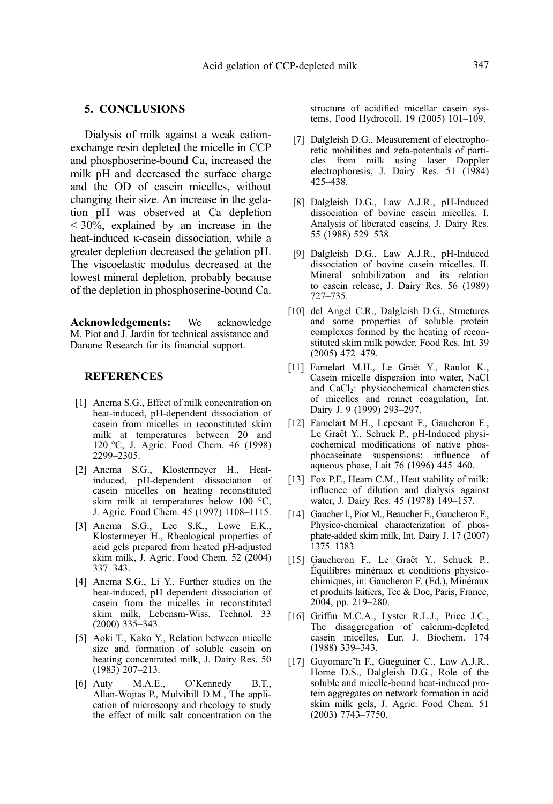# <span id="page-12-0"></span>5. CONCLUSIONS

Dialysis of milk against a weak cationexchange resin depleted the micelle in CCP and phosphoserine-bound Ca, increased the milk pH and decreased the surface charge and the OD of casein micelles, without changing their size. An increase in the gelation pH was observed at Ca depletion < 30%, explained by an increase in the heat-induced κ-casein dissociation, while a greater depletion decreased the gelation pH. The viscoelastic modulus decreased at the lowest mineral depletion, probably because of the depletion in phosphoserine-bound Ca.

Acknowledgements: We acknowledge M. Piot and J. Jardin for technical assistance and Danone Research for its financial support.

#### **REFERENCES**

- [1] Anema S.G., Effect of milk concentration on heat-induced, pH-dependent dissociation of casein from micelles in reconstituted skim milk at temperatures between 20 and 120 °C, J. Agric. Food Chem. 46 (1998) 2299–2305.
- [2] Anema S.G., Klostermeyer H., Heatinduced, pH-dependent dissociation of casein micelles on heating reconstituted skim milk at temperatures below 100 °C, J. Agric. Food Chem. 45 (1997) 1108–1115.
- [3] Anema S.G., Lee S.K., Lowe E.K., Klostermeyer H., Rheological properties of acid gels prepared from heated pH-adjusted skim milk, J. Agric. Food Chem. 52 (2004) 337–343.
- [4] Anema S.G., Li Y., Further studies on the heat-induced, pH dependent dissociation of casein from the micelles in reconstituted skim milk, Lebensm-Wiss. Technol. 33 (2000) 335–343.
- [5] Aoki T., Kako Y., Relation between micelle size and formation of soluble casein on heating concentrated milk, J. Dairy Res. 50 (1983) 207–213.
- [6] Auty M.A.E., O'Kennedy B.T., Allan-Wojtas P., Mulvihill D.M., The application of microscopy and rheology to study the effect of milk salt concentration on the

structure of acidified micellar casein systems, Food Hydrocoll. 19 (2005) 101–109.

- [7] Dalgleish D.G., Measurement of electrophoretic mobilities and zeta-potentials of particles from milk using laser Doppler electrophoresis, J. Dairy Res. 51 (1984) 425–438.
- [8] Dalgleish D.G., Law A.J.R., pH-Induced dissociation of bovine casein micelles. I. Analysis of liberated caseins, J. Dairy Res. 55 (1988) 529–538.
- [9] Dalgleish D.G., Law A.J.R., pH-Induced dissociation of bovine casein micelles. II. Mineral solubilization and its relation to casein release, J. Dairy Res. 56 (1989) 727–735.
- [10] del Angel C.R., Dalgleish D.G., Structures and some properties of soluble protein complexes formed by the heating of reconstituted skim milk powder, Food Res. Int. 39 (2005) 472–479.
- [11] Famelart M.H., Le Graët Y., Raulot K., Casein micelle dispersion into water, NaCl and CaCl<sub>2</sub>: physicochemical characteristics of micelles and rennet coagulation, Int. Dairy J. 9 (1999) 293–297.
- [12] Famelart M.H., Lepesant F., Gaucheron F., Le Graët Y., Schuck P., pH-Induced physicochemical modifications of native phosphocaseinate suspensions: influence of aqueous phase, Lait 76 (1996) 445–460.
- [13] Fox P.F., Hearn C.M., Heat stability of milk: influence of dilution and dialysis against water, J. Dairy Res. 45 (1978) 149–157.
- [14] Gaucher I., Piot M., Beaucher E., Gaucheron F., Physico-chemical characterization of phosphate-added skim milk, Int. Dairy J. 17 (2007) 1375–1383.
- [15] Gaucheron F., Le Graët Y., Schuck P., Équilibres minéraux et conditions physicochimiques, in: Gaucheron F. (Ed.), Minéraux et produits laitiers, Tec & Doc, Paris, France, 2004, pp. 219–280.
- [16] Griffin M.C.A., Lyster R.L.J., Price J.C., The disaggregation of calcium-depleted casein micelles, Eur. J. Biochem. 174 (1988) 339–343.
- [17] Guyomarc'h F., Gueguiner C., Law A.J.R., Horne D.S., Dalgleish D.G., Role of the soluble and micelle-bound heat-induced protein aggregates on network formation in acid skim milk gels, J. Agric. Food Chem. 51 (2003) 7743–7750.